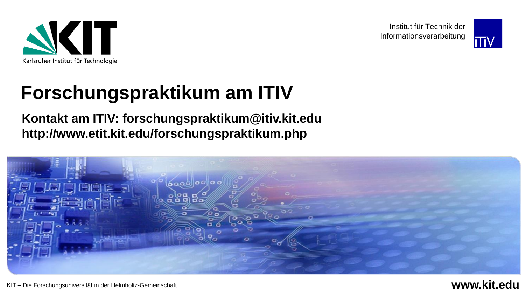

Institut für Technik der Informationsverarbeitung



# **Forschungspraktikum am ITIV**

**Kontakt am ITIV: forschungspraktikum@itiv.kit.edu http://www.etit.kit.edu/forschungspraktikum.php**

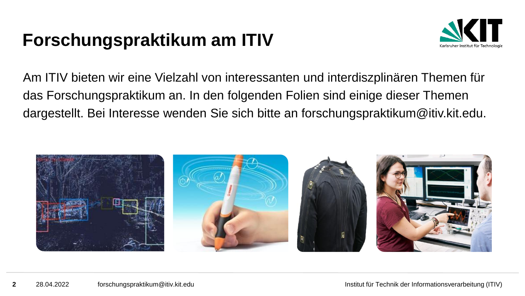## **Forschungspraktikum am ITIV**



Am ITIV bieten wir eine Vielzahl von interessanten und interdiszplinären Themen für das Forschungspraktikum an. In den folgenden Folien sind einige dieser Themen dargestellt. Bei Interesse wenden Sie sich bitte an forschungspraktikum@itiv.kit.edu.

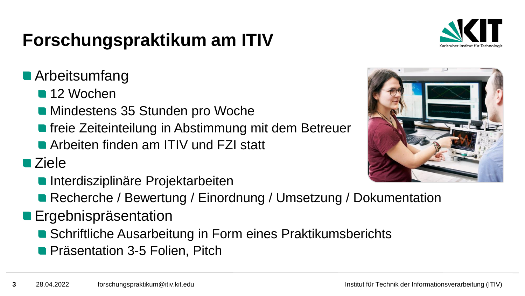# **Forschungspraktikum am ITIV**



#### **Arbeitsumfang**

- **12 Wochen**
- **Mindestens 35 Stunden pro Woche**
- **freie Zeiteinteilung in Abstimmung mit dem Betreuer**
- **Arbeiten finden am ITIV und FZI statt**

■ Ziele

- **Interdisziplinäre Projektarbeiten**
- Recherche / Bewertung / Einordnung / Umsetzung / Dokumentation
- **Ergebnispräsentation** 
	- Schriftliche Ausarbeitung in Form eines Praktikumsberichts
	- **Präsentation 3-5 Folien, Pitch**

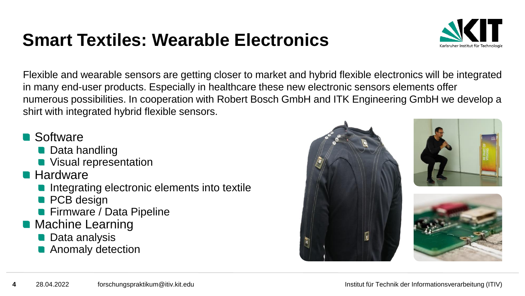## **Smart Textiles: Wearable Electronics**



Flexible and wearable sensors are getting closer to market and hybrid flexible electronics will be integrated in many end-user products. Especially in healthcare these new electronic sensors elements offer numerous possibilities. In cooperation with Robert Bosch GmbH and ITK Engineering GmbH we develop a shirt with integrated hybrid flexible sensors.

#### **Software**

- **Data handling**
- **No. 7 Visual representation**
- **Hardware** 
	- Integrating electronic elements into textile
	- **PCB** design
	- **Firmware / Data Pipeline**
- **Machine Learning** 
	- **Data analysis**
	- **Anomaly detection**





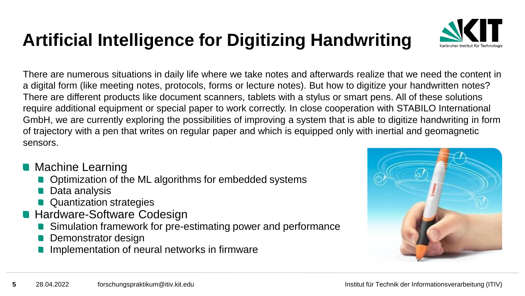# **Artificial Intelligence for Digitizing Handwriting**



There are numerous situations in daily life where we take notes and afterwards realize that we need the content in a digital form (like meeting notes, protocols, forms or lecture notes). But how to digitize your handwritten notes? There are different products like document scanners, tablets with a stylus or smart pens. All of these solutions require additional equipment or special paper to work correctly. In close cooperation with STABILO International GmbH, we are currently exploring the possibilities of improving a system that is able to digitize handwriting in form of trajectory with a pen that writes on regular paper and which is equipped only with inertial and geomagnetic sensors.

- **Machine Learning** 
	- Optimization of the ML algorithms for embedded systems
	- **Data analysis**
	- **Quantization strategies**
- **Hardware-Software Codesign** 
	- Simulation framework for pre-estimating power and performance
	- Demonstrator design
	- Implementation of neural networks in firmware

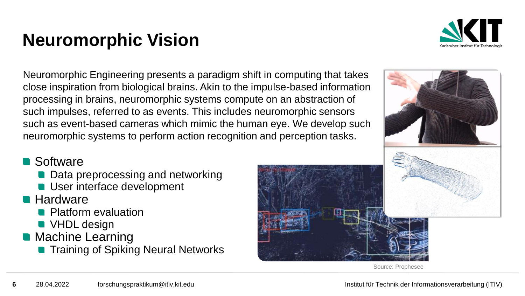# **Neuromorphic Vision**



Neuromorphic Engineering presents a paradigm shift in computing that takes close inspiration from biological brains. Akin to the impulse-based information processing in brains, neuromorphic systems compute on an abstraction of such impulses, referred to as events. This includes neuromorphic sensors such as event-based cameras which mimic the human eye. We develop such neuromorphic systems to perform action recognition and perception tasks.

#### Software

- Data preprocessing and networking
- User interface development
- **Hardware** 
	- **Platform evaluation**
	- **VHDL** design
- **Machine Learning** 
	- **Training of Spiking Neural Networks**



Source: Prophesee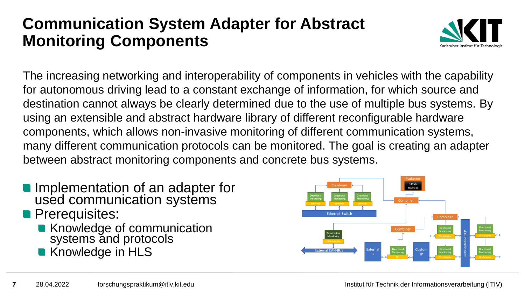#### **Communication System Adapter for Abstract Monitoring Components**



The increasing networking and interoperability of components in vehicles with the capability for autonomous driving lead to a constant exchange of information, for which source and destination cannot always be clearly determined due to the use of multiple bus systems. By using an extensible and abstract hardware library of different reconfigurable hardware components, which allows non-invasive monitoring of different communication systems, many different communication protocols can be monitored. The goal is creating an adapter between abstract monitoring components and concrete bus systems.

- Implementation of an adapter for used communication systems
- **Prerequisites:** 
	- Knowledge of communication systems and protocols
	- Knowledge in HLS

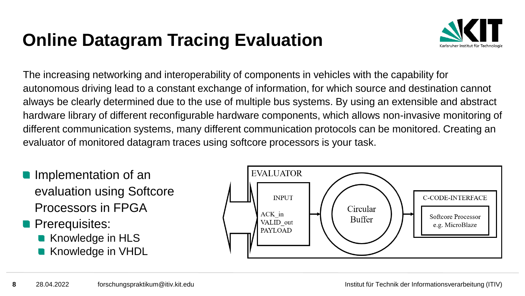# **Online Datagram Tracing Evaluation**



The increasing networking and interoperability of components in vehicles with the capability for autonomous driving lead to a constant exchange of information, for which source and destination cannot always be clearly determined due to the use of multiple bus systems. By using an extensible and abstract hardware library of different reconfigurable hardware components, which allows non-invasive monitoring of different communication systems, many different communication protocols can be monitored. Creating an evaluator of monitored datagram traces using softcore processors is your task.

- **Implementation of an** evaluation using Softcore Processors in FPGA
- **Prerequisites:** 
	- Knowledge in HLS
	- Knowledge in VHDL